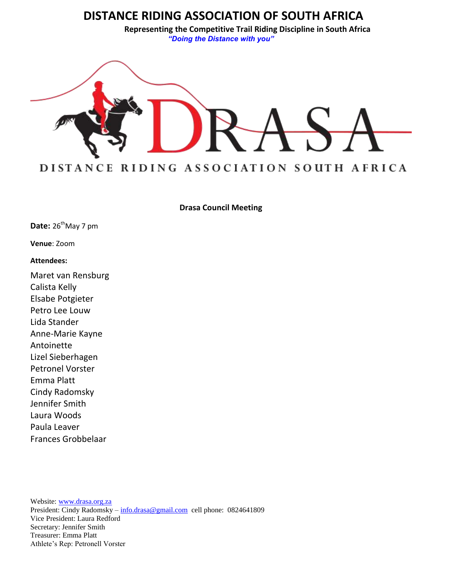# **DISTANCE RIDING ASSOCIATION OF SOUTH AFRICA**

**Representing the Competitive Trail Riding Discipline in South Africa** *"Doing the Distance with you"*



**Drasa Council Meeting**

Date: 26<sup>th</sup>May 7 pm

**Venue**: Zoom

## **Attendees:**

Maret van Rensburg Calista Kelly Elsabe Potgieter Petro Lee Louw Lida Stander Anne-Marie Kayne Antoinette Lizel Sieberhagen Petronel Vorster Emma Platt Cindy Radomsky Jennifer Smith Laura Woods Paula Leaver Frances Grobbelaar

Website: [www.drasa.org.za](http://www.drasa.org.za/) President: Cindy Radomsky – [info.drasa@gmail.com](mailto:info.drasa@gmail.com) cell phone: 0824641809 Vice President: Laura Redford Secretary: Jennifer Smith Treasurer: Emma Platt Athlete's Rep: Petronell Vorster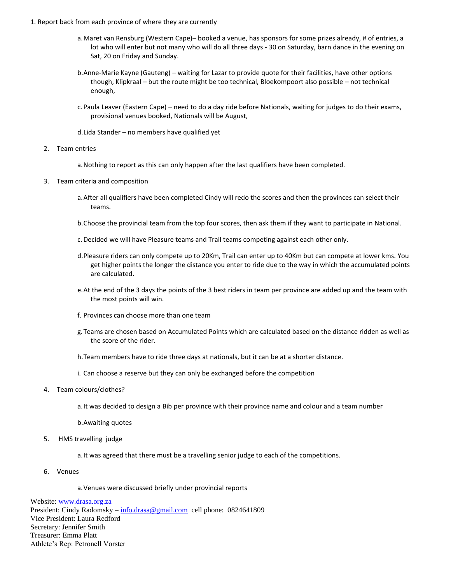- 1. Report back from each province of where they are currently
	- a.Maret van Rensburg (Western Cape)– booked a venue, has sponsors for some prizes already, # of entries, a lot who will enter but not many who will do all three days - 30 on Saturday, barn dance in the evening on Sat, 20 on Friday and Sunday.
	- b.Anne-Marie Kayne (Gauteng) waiting for Lazar to provide quote for their facilities, have other options though, Klipkraal – but the route might be too technical, Bloekompoort also possible – not technical enough,
	- c. Paula Leaver (Eastern Cape) need to do a day ride before Nationals, waiting for judges to do their exams, provisional venues booked, Nationals will be August,
	- d.Lida Stander no members have qualified yet
	- 2. Team entries
		- a.Nothing to report as this can only happen after the last qualifiers have been completed.
	- 3. Team criteria and composition
		- a.After all qualifiers have been completed Cindy will redo the scores and then the provinces can select their teams.
		- b.Choose the provincial team from the top four scores, then ask them if they want to participate in National.
		- c.Decided we will have Pleasure teams and Trail teams competing against each other only.
		- d.Pleasure riders can only compete up to 20Km, Trail can enter up to 40Km but can compete at lower kms. You get higher points the longer the distance you enter to ride due to the way in which the accumulated points are calculated.
		- e.At the end of the 3 days the points of the 3 best riders in team per province are added up and the team with the most points will win.
		- f. Provinces can choose more than one team
		- g.Teams are chosen based on Accumulated Points which are calculated based on the distance ridden as well as the score of the rider.
		- h.Team members have to ride three days at nationals, but it can be at a shorter distance.
		- i. Can choose a reserve but they can only be exchanged before the competition
	- 4. Team colours/clothes?
		- a.It was decided to design a Bib per province with their province name and colour and a team number

b.Awaiting quotes

- 5. HMS travelling judge
	- a.It was agreed that there must be a travelling senior judge to each of the competitions.
- 6. Venues

a.Venues were discussed briefly under provincial reports

Website: [www.drasa.org.za](http://www.drasa.org.za/) President: Cindy Radomsky – [info.drasa@gmail.com](mailto:info.drasa@gmail.com) cell phone: 0824641809 Vice President: Laura Redford Secretary: Jennifer Smith Treasurer: Emma Platt Athlete's Rep: Petronell Vorster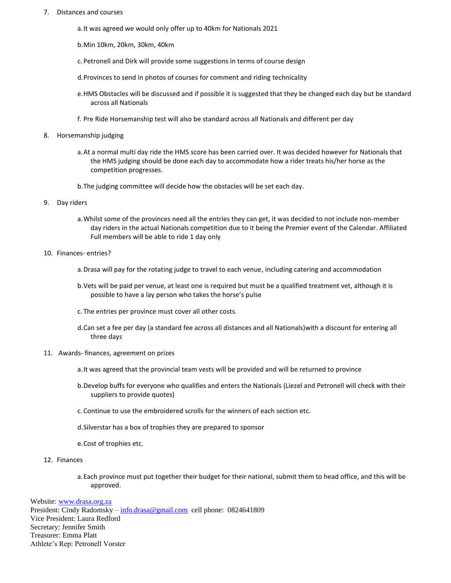#### 7. Distances and courses

- a.It was agreed we would only offer up to 40km for Nationals 2021
- b.Min 10km, 20km, 30km, 40km
- c. Petronell and Dirk will provide some suggestions in terms of course design
- d.Provinces to send in photos of courses for comment and riding technicality
- e.HMS Obstacles will be discussed and if possible it is suggested that they be changed each day but be standard across all Nationals
- f. Pre Ride Horsemanship test will also be standard across all Nationals and different per day
- 8. Horsemanship judging
	- a.At a normal multi day ride the HMS score has been carried over. It was decided however for Nationals that the HMS judging should be done each day to accommodate how a rider treats his/her horse as the competition progresses.
	- b.The judging committee will decide how the obstacles will be set each day.
- 9. Day riders
	- a.Whilst some of the provinces need all the entries they can get, it was decided to not include non-member day riders in the actual Nationals competition due to it being the Premier event of the Calendar. Affiliated Full members will be able to ride 1 day only
- 10. Finances- entries?
	- a.Drasa will pay for the rotating judge to travel to each venue, including catering and accommodation
	- b.Vets will be paid per venue, at least one is required but must be a qualified treatment vet, although it is possible to have a lay person who takes the horse's pulse
	- c. The entries per province must cover all other costs.
	- d.Can set a fee per day (a standard fee across all distances and all Nationals)with a discount for entering all three days
- 11. Awards- finances, agreement on prizes
	- a.It was agreed that the provincial team vests will be provided and will be returned to province
	- b.Develop buffs for everyone who qualifies and enters the Nationals (Liezel and Petronell will check with their suppliers to provide quotes)
	- c. Continue to use the embroidered scrolls for the winners of each section etc.
	- d.Silverstar has a box of trophies they are prepared to sponsor
	- e.Cost of trophies etc.
- 12. Finances
	- a.Each province must put together their budget for their national, submit them to head office, and this will be approved.

Website: [www.drasa.org.za](http://www.drasa.org.za/)

President: Cindy Radomsky – [info.drasa@gmail.com](mailto:info.drasa@gmail.com) cell phone: 0824641809 Vice President: Laura Redford Secretary: Jennifer Smith Treasurer: Emma Platt Athlete's Rep: Petronell Vorster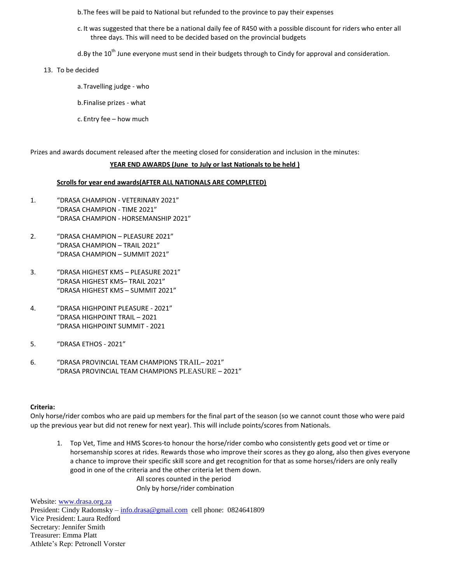b.The fees will be paid to National but refunded to the province to pay their expenses

- c. It was suggested that there be a national daily fee of R450 with a possible discount for riders who enter all three days. This will need to be decided based on the provincial budgets
- d.By the  $10^{th}$  June everyone must send in their budgets through to Cindy for approval and consideration.
- 13. To be decided
	- a.Travelling judge who
	- b.Finalise prizes what
	- c. Entry fee how much

Prizes and awards document released after the meeting closed for consideration and inclusion in the minutes:

#### **YEAR END AWARDS (June to July or last Nationals to be held )**

#### **Scrolls for year end awards(AFTER ALL NATIONALS ARE COMPLETED)**

- 1. "DRASA CHAMPION VETERINARY 2021" "DRASA CHAMPION - TIME 2021" "DRASA CHAMPION - HORSEMANSHIP 2021"
- 2. "DRASA CHAMPION PLEASURE 2021" "DRASA CHAMPION – TRAIL 2021" "DRASA CHAMPION – SUMMIT 2021"
- 3. "DRASA HIGHEST KMS PLEASURE 2021" "DRASA HIGHEST KMS– TRAIL 2021" "DRASA HIGHEST KMS – SUMMIT 2021"
- 4. "DRASA HIGHPOINT PLEASURE 2021" "DRASA HIGHPOINT TRAIL – 2021 "DRASA HIGHPOINT SUMMIT - 2021
- 5. "DRASA ETHOS 2021"
- 6. "DRASA PROVINCIAL TEAM CHAMPIONS TRAIL– 2021" "DRASA PROVINCIAL TEAM CHAMPIONS PLEASURE – 2021"

### **Criteria:**

Only horse/rider combos who are paid up members for the final part of the season (so we cannot count those who were paid up the previous year but did not renew for next year). This will include points/scores from Nationals.

1. Top Vet, Time and HMS Scores-to honour the horse/rider combo who consistently gets good vet or time or horsemanship scores at rides. Rewards those who improve their scores as they go along, also then gives everyone a chance to improve their specific skill score and get recognition for that as some horses/riders are only really good in one of the criteria and the other criteria let them down. All scores counted in the period

Only by horse/rider combination

Website: [www.drasa.org.za](http://www.drasa.org.za/)

President: Cindy Radomsky – [info.drasa@gmail.com](mailto:info.drasa@gmail.com) cell phone: 0824641809 Vice President: Laura Redford Secretary: Jennifer Smith Treasurer: Emma Platt Athlete's Rep: Petronell Vorster